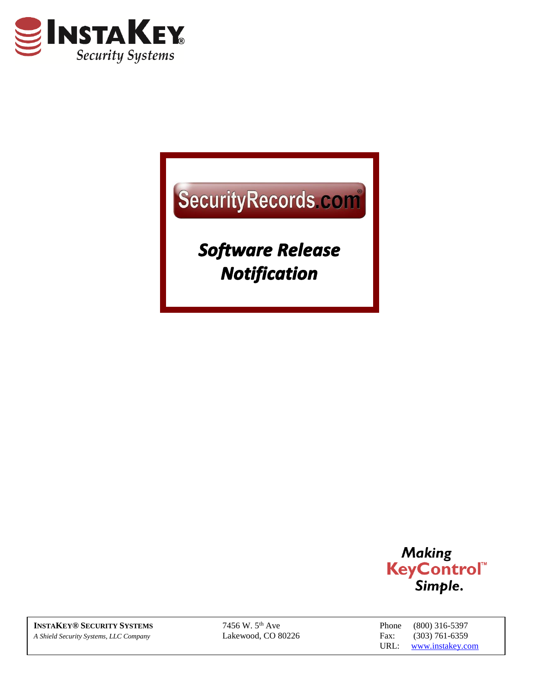

# Security Records.com

**Software Release Notification** 



**INSTAKEY® SECURITY SYSTEMS** A Shield Security Systems, LLC Company

7456 W. 5<sup>th</sup> Ave Lakewood, CO 80226 Phone  $(800)$  316-5397 Fax:  $(303)$  761-6359 URL: www.instakey.com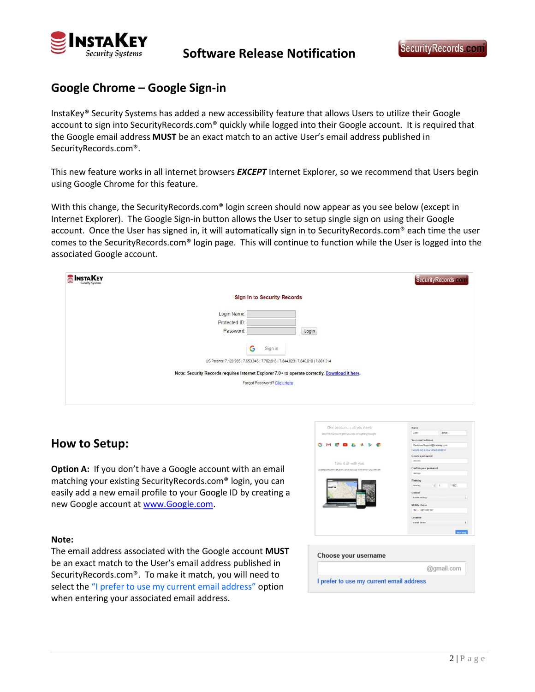

## **Google Chrome – Google Sign-in**

InstaKey® Security Systems has added a new accessibility feature that allows Users to utilize their Google account to sign into SecurityRecords.com® quickly while logged into their Google account. It is required that the Google email address **MUST** be an exact match to an active User's email address published in SecurityRecords.com®.

This new feature works in all internet browsers *EXCEPT* Internet Explorer*,* so we recommend that Users begin using Google Chrome for this feature.

With this change, the SecurityRecords.com® login screen should now appear as you see below (except in Internet Explorer). The Google Sign-in button allows the User to setup single sign on using their Google account. Once the User has signed in, it will automatically sign in to SecurityRecords.com® each time the user comes to the SecurityRecords.com® login page. This will continue to function while the User is logged into the associated Google account.

| <b>SETAKEY</b> |                                                                                                                               | SecurityRecords.com |
|----------------|-------------------------------------------------------------------------------------------------------------------------------|---------------------|
|                | <b>Sign in to Security Records</b>                                                                                            |                     |
|                | Login Name:<br>Protected ID:<br>Login<br>Password:<br>G<br>Sign in                                                            |                     |
|                | US Patents: 7,120,935   7,653,945   7,702,913   7,844,823   7,840,010   7,861,314                                             |                     |
|                | Note: Security Records requires Internet Explorer 7.0+ to operate correctly. Download it here.<br>Forgot Password? Click Here |                     |
|                |                                                                                                                               |                     |

### **How to Setup:**

**Option A:** If you don't have a Google account with an email matching your existing SecurityRecords.com® login, you can easily add a new email profile to your Google ID by creating a new Google account at [www.Google.com.](http://www.google.com/)

#### **Note:**

The email address associated with the Google account **MUST** be an exact match to the User's email address published in SecurityRecords.com®. To make it match, you will need to select the "I prefer to use my current email address" option when entering your associated email address.



I prefer to use my current email address